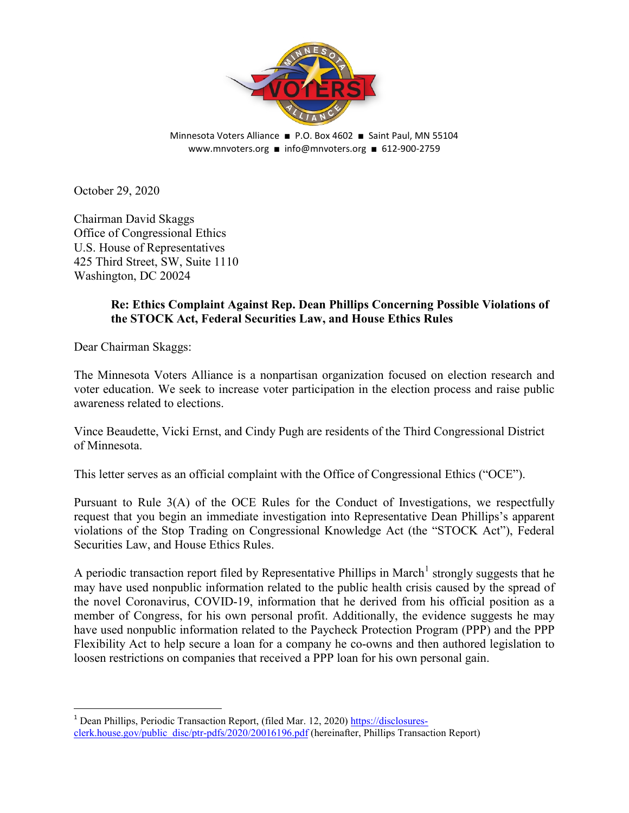

Minnesota Voters Alliance ■ P.O. Box 4602 ■ Saint Paul, MN 55104 www.mnvoters.org ■ info@mnvoters.org ■ 612-900-2759

October 29, 2020

Chairman David Skaggs Office of Congressional Ethics U.S. House of Representatives 425 Third Street, SW, Suite 1110 Washington, DC 20024

### **Re: Ethics Complaint Against Rep. Dean Phillips Concerning Possible Violations of the STOCK Act, Federal Securities Law, and House Ethics Rules**

Dear Chairman Skaggs:

The Minnesota Voters Alliance is a nonpartisan organization focused on election research and voter education. We seek to increase voter participation in the election process and raise public awareness related to elections.

Vince Beaudette, Vicki Ernst, and Cindy Pugh are residents of the Third Congressional District of Minnesota.

This letter serves as an official complaint with the Office of Congressional Ethics ("OCE").

Pursuant to Rule 3(A) of the OCE Rules for the Conduct of Investigations, we respectfully request that you begin an immediate investigation into Representative Dean Phillips's apparent violations of the Stop Trading on Congressional Knowledge Act (the "STOCK Act"), Federal Securities Law, and House Ethics Rules.

A periodic transaction report filed by Representative Phillips in March<sup>[1](#page-0-0)</sup> strongly suggests that he may have used nonpublic information related to the public health crisis caused by the spread of the novel Coronavirus, COVID-19, information that he derived from his official position as a member of Congress, for his own personal profit. Additionally, the evidence suggests he may have used nonpublic information related to the Paycheck Protection Program (PPP) and the PPP Flexibility Act to help secure a loan for a company he co-owns and then authored legislation to loosen restrictions on companies that received a PPP loan for his own personal gain.

<span id="page-0-0"></span><sup>1</sup> Dean Phillips, Periodic Transaction Report, (filed Mar. 12, 2020) [https://disclosures](https://disclosures-clerk.house.gov/public_disc/ptr-pdfs/2020/20016196.pdf)[clerk.house.gov/public\\_disc/ptr-pdfs/2020/20016196.pdf](https://disclosures-clerk.house.gov/public_disc/ptr-pdfs/2020/20016196.pdf) (hereinafter, Phillips Transaction Report)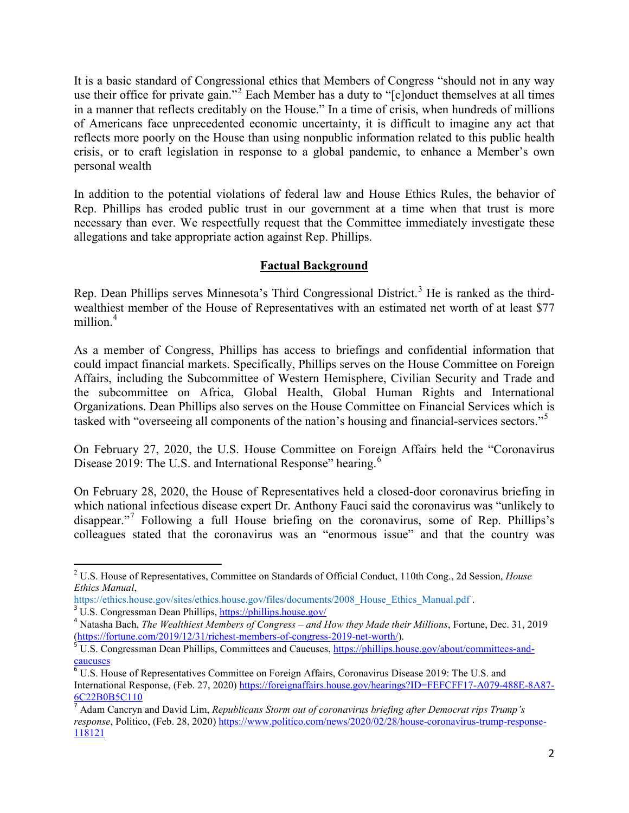It is a basic standard of Congressional ethics that Members of Congress "should not in any way use their office for private gain."[2](#page-1-0) Each Member has a duty to "[c]onduct themselves at all times in a manner that reflects creditably on the House." In a time of crisis, when hundreds of millions of Americans face unprecedented economic uncertainty, it is difficult to imagine any act that reflects more poorly on the House than using nonpublic information related to this public health crisis, or to craft legislation in response to a global pandemic, to enhance a Member's own personal wealth

In addition to the potential violations of federal law and House Ethics Rules, the behavior of Rep. Phillips has eroded public trust in our government at a time when that trust is more necessary than ever. We respectfully request that the Committee immediately investigate these allegations and take appropriate action against Rep. Phillips.

# **Factual Background**

Rep. Dean Phillips serves Minnesota's Third Congressional District.<sup>[3](#page-1-1)</sup> He is ranked as the thirdwealthiest member of the House of Representatives with an estimated net worth of at least \$77 million.<sup>[4](#page-1-2)</sup>

As a member of Congress, Phillips has access to briefings and confidential information that could impact financial markets. Specifically, Phillips serves on the House Committee on Foreign Affairs, including the Subcommittee of Western Hemisphere, Civilian Security and Trade and the subcommittee on Africa, Global Health, Global Human Rights and International Organizations. Dean Phillips also serves on the House Committee on Financial Services which is tasked with "overseeing all components of the nation's housing and financial-services sectors."[5](#page-1-3)

On February 27, 2020, the U.S. House Committee on Foreign Affairs held the "Coronavirus Disease 2019: The U.S. and International Response" hearing.<sup>[6](#page-1-4)</sup>

On February 28, 2020, the House of Representatives held a closed-door coronavirus briefing in which national infectious disease expert Dr. Anthony Fauci said the coronavirus was "unlikely to disappear."[7](#page-1-5) Following a full House briefing on the coronavirus, some of Rep. Phillips's colleagues stated that the coronavirus was an "enormous issue" and that the country was

<span id="page-1-0"></span> <sup>2</sup> U.S. House of Representatives, Committee on Standards of Official Conduct, 110th Cong., 2d Session, *House Ethics Manual*,<br>https://ethics.house.gov/sites/ethics.house.gov/files/documents/2008 House Ethics Manual.pdf.

<span id="page-1-2"></span><span id="page-1-1"></span><sup>&</sup>lt;sup>3</sup> U.S. Congressman Dean Phillips,<https://phillips.house.gov/><br><sup>4</sup> Natasha Bach, *The Wealthiest Members of Congress – and How they Made their Millions*, Fortune, Dec. 31, 2019<br>(https://fortune.com/2019/12/31/richest-memb

<span id="page-1-3"></span><sup>&</sup>lt;sup>5</sup> U.S. Congressman Dean Phillips, Committees and Caucuses[, https://phillips.house.gov/about/committees-and](https://phillips.house.gov/about/committees-and-caucuses)[caucuses](https://phillips.house.gov/about/committees-and-caucuses)

<span id="page-1-4"></span><sup>6</sup> U.S. House of Representatives Committee on Foreign Affairs, Coronavirus Disease 2019: The U.S. and International Response, (Feb. 27, 2020) [https://foreignaffairs.house.gov/hearings?ID=FEFCFF17-A079-488E-8A87-](https://foreignaffairs.house.gov/hearings?ID=FEFCFF17-A079-488E-8A87-6C22B0B5C110) [6C22B0B5C110](https://foreignaffairs.house.gov/hearings?ID=FEFCFF17-A079-488E-8A87-6C22B0B5C110)

<span id="page-1-5"></span><sup>7</sup> Adam Cancryn and David Lim, *Republicans Storm out of coronavirus briefing after Democrat rips Trump's response*, Politico, (Feb. 28, 2020) [https://www.politico.com/news/2020/02/28/house-coronavirus-trump-response-](https://www.politico.com/news/2020/02/28/house-coronavirus-trump-response-118121)[118121](https://www.politico.com/news/2020/02/28/house-coronavirus-trump-response-118121)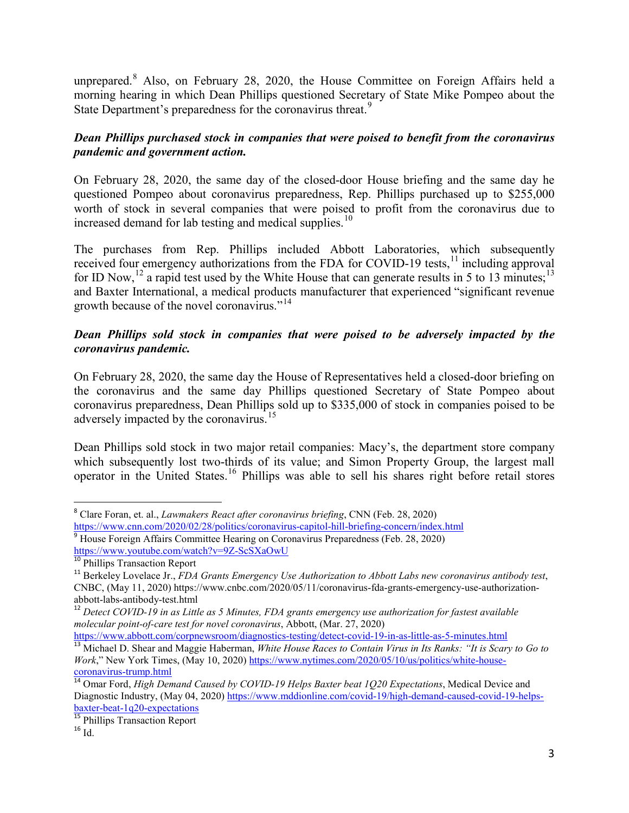unprepared.[8](#page-2-0) Also, on February 28, 2020, the House Committee on Foreign Affairs held a morning hearing in which Dean Phillips questioned Secretary of State Mike Pompeo about the State Department's preparedness for the coronavirus threat.<sup>[9](#page-2-1)</sup>

# *Dean Phillips purchased stock in companies that were poised to benefit from the coronavirus pandemic and government action.*

On February 28, 2020, the same day of the closed-door House briefing and the same day he questioned Pompeo about coronavirus preparedness, Rep. Phillips purchased up to \$255,000 worth of stock in several companies that were poised to profit from the coronavirus due to increased demand for lab testing and medical supplies.<sup>[10](#page-2-2)</sup>

The purchases from Rep. Phillips included Abbott Laboratories, which subsequently received four emergency authorizations from the FDA for COVID-19 tests,<sup>[11](#page-2-3)</sup> including approval for ID Now,<sup>[12](#page-2-4)</sup> a rapid test used by the White House that can generate results in 5 to [13](#page-2-5) minutes;<sup>13</sup> and Baxter International, a medical products manufacturer that experienced "significant revenue growth because of the novel coronavirus."<sup>[14](#page-2-6)</sup>

## *Dean Phillips sold stock in companies that were poised to be adversely impacted by the coronavirus pandemic.*

On February 28, 2020, the same day the House of Representatives held a closed-door briefing on the coronavirus and the same day Phillips questioned Secretary of State Pompeo about coronavirus preparedness, Dean Phillips sold up to \$335,000 of stock in companies poised to be adversely impacted by the coronavirus.<sup>[15](#page-2-7)</sup>

Dean Phillips sold stock in two major retail companies: Macy's, the department store company which subsequently lost two-thirds of its value; and Simon Property Group, the largest mall operator in the United States.[16](#page-2-8) Phillips was able to sell his shares right before retail stores

<span id="page-2-1"></span><span id="page-2-0"></span><sup>&</sup>lt;sup>8</sup> Clare Foran, et. al., *Lawmakers React after coronavirus briefing*, CNN (Feb. 28, 2020)<br>https://www.cnn.com/2020/02/28/politics/coronavirus-capitol-hill-briefing-concern/index.html <sup>9</sup> House Foreign Affairs Committee Hearing on Coronavirus Preparedness (Feb. 28, 2020)<br>https://www.youtube.com/watch?v=9Z-ScSXaOwU<br><sup>10</sup> Phillips Transaction Report

<span id="page-2-3"></span><span id="page-2-2"></span><sup>&</sup>lt;sup>11</sup> Berkeley Lovelace Jr., *FDA Grants Emergency Use Authorization to Abbott Labs new coronavirus antibody test*, CNBC, (May 11, 2020) https://www.cnbc.com/2020/05/11/coronavirus-fda-grants-emergency-use-authorizationabbott-labs-antibody-test.html <sup>12</sup> *Detect COVID-19 in as Little as 5 Minutes, FDA grants emergency use authorization for fastest available* 

<span id="page-2-4"></span>*molecular point-of-care test for novel coronavirus*, Abbott, (Mar. 27, 2020)

<span id="page-2-5"></span><sup>&</sup>lt;sup>13</sup> Michael D. Shear and Maggie Haberman, White House Races to Contain Virus in Its Ranks: "It is Scary to Go to *Work*," New York Times, (May 10, 2020[\) https://www.nytimes.com/2020/05/10/us/politics/white-house-](https://www.nytimes.com/2020/05/10/us/politics/white-house-coronavirus-trump.html)

<span id="page-2-6"></span>[coronavirus-trump.html](https://www.nytimes.com/2020/05/10/us/politics/white-house-coronavirus-trump.html) <sup>14</sup> Omar Ford, *High Demand Caused by COVID-19 Helps Baxter beat 1Q20 Expectations*, Medical Device and Diagnostic Industry, (May 04, 2020) [https://www.mddionline.com/covid-19/high-demand-caused-covid-19-helps-](https://www.mddionline.com/covid-19/high-demand-caused-covid-19-helps-baxter-beat-1q20-expectations)

<span id="page-2-7"></span>[baxter-beat-1q20-expectations](https://www.mddionline.com/covid-19/high-demand-caused-covid-19-helps-baxter-beat-1q20-expectations)<br><sup>15</sup> Phillips Transaction Report<br><sup>16</sup> Id

<span id="page-2-8"></span>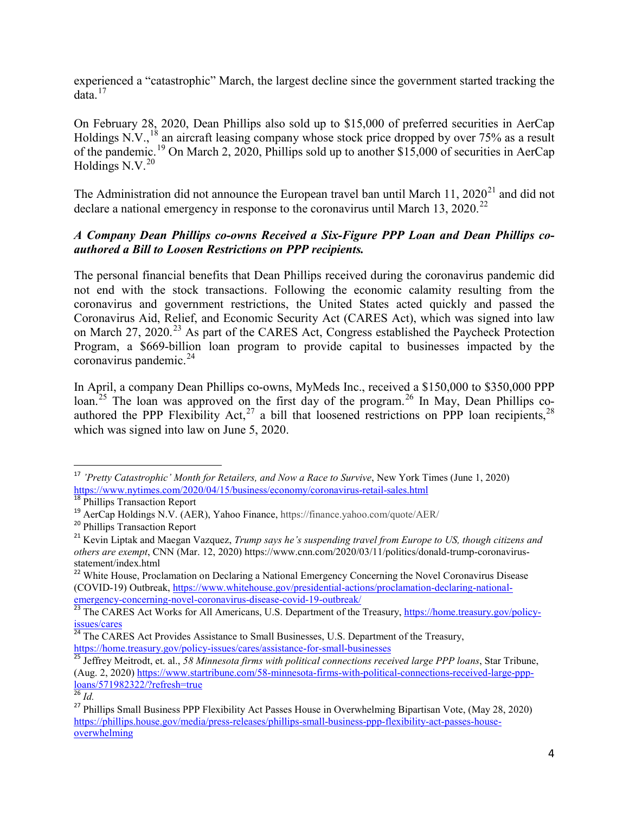experienced a "catastrophic" March, the largest decline since the government started tracking the  $data<sup>17</sup>$  $data<sup>17</sup>$  $data<sup>17</sup>$ 

On February 28, 2020, Dean Phillips also sold up to \$15,000 of preferred securities in AerCap Holdings N.V.,<sup>[18](#page-3-1)</sup> an aircraft leasing company whose stock price dropped by over 75% as a result of the pandemic.<sup>[19](#page-3-2)</sup> On March 2, 2020, Phillips sold up to another \$15,000 of securities in AerCap Holdings N.V. $^{20}$  $^{20}$  $^{20}$ 

The Administration did not announce the European travel ban until March 11,  $2020^{21}$  $2020^{21}$  $2020^{21}$  and did not declare a national emergency in response to the coronavirus until March 13, 2020.<sup>[22](#page-3-5)</sup>

### *A Company Dean Phillips co-owns Received a Six-Figure PPP Loan and Dean Phillips coauthored a Bill to Loosen Restrictions on PPP recipients.*

The personal financial benefits that Dean Phillips received during the coronavirus pandemic did not end with the stock transactions. Following the economic calamity resulting from the coronavirus and government restrictions, the United States acted quickly and passed the Coronavirus Aid, Relief, and Economic Security Act (CARES Act), which was signed into law on March 27, 2020.<sup>[23](#page-3-6)</sup> As part of the CARES Act, Congress established the Paycheck Protection Program, a \$669-billion loan program to provide capital to businesses impacted by the coronavirus pandemic. $^{24}$  $^{24}$  $^{24}$ 

In April, a company Dean Phillips co-owns, MyMeds Inc., received a \$150,000 to \$350,000 PPP loan.<sup>[25](#page-3-8)</sup> The loan was approved on the first day of the program.<sup>[26](#page-3-9)</sup> In May, Dean Phillips coauthored the PPP Flexibility Act,  $27$  a bill that loosened restrictions on PPP loan recipients,  $28$ which was signed into law on June 5, 2020.

<span id="page-3-0"></span><sup>&</sup>lt;sup>17</sup> *'Pretty Catastrophic' Month for Retailers, and Now a Race to Survive*, New York Times (June 1, 2020) https://www.nytimes.com/2020/04/15/business/economy/coronavirus-retail-sales.html

<span id="page-3-2"></span><span id="page-3-1"></span><sup>&</sup>lt;sup>18</sup> Phillips Transaction Report<br><sup>19</sup> AerCap Holdings N.V. (AER), Yahoo Finance, https://finance.yahoo.com/quote/AER/<br><sup>20</sup> Phillips Transaction Report<br><sup>21</sup> Kevin Liptak and Maegan Vazquez, *Trump says he's suspending trav* 

<span id="page-3-3"></span>

<span id="page-3-4"></span>*others are exempt*, CNN (Mar. 12, 2020) https://www.cnn.com/2020/03/11/politics/donald-trump-coronavirusstatement/index.html

<span id="page-3-11"></span><span id="page-3-5"></span><sup>&</sup>lt;sup>22</sup> White House, Proclamation on Declaring a National Emergency Concerning the Novel Coronavirus Disease (COVID-19) Outbreak, [https://www.whitehouse.gov/presidential-actions/proclamation-declaring-national](https://www.whitehouse.gov/presidential-actions/proclamation-declaring-national-emergency-concerning-novel-coronavirus-disease-covid-19-outbreak/)[emergency-concerning-novel-coronavirus-disease-covid-19-outbreak/](https://www.whitehouse.gov/presidential-actions/proclamation-declaring-national-emergency-concerning-novel-coronavirus-disease-covid-19-outbreak/)<br><sup>23</sup> The CARES Act Works for All Americans, U.S. Department of the Treasury, [https://home.treasury.gov/policy-](https://home.treasury.gov/policy-issues/cares)

<span id="page-3-6"></span>[issues/cares](https://home.treasury.gov/policy-issues/cares)

<sup>&</sup>lt;sup>24</sup> The CARES Act Provides Assistance to Small Businesses, U.S. Department of the Treasury,

<span id="page-3-8"></span><span id="page-3-7"></span><https://home.treasury.gov/policy-issues/cares/assistance-for-small-businesses> <sup>25</sup> Jeffrey Meitrodt, et. al., *58 Minnesota firms with political connections received large PPP loans*, Star Tribune, (Aug. 2, 2020) [https://www.startribune.com/58-minnesota-firms-with-political-connections-received-large-ppp-](https://www.startribune.com/58-minnesota-firms-with-political-connections-received-large-ppp-loans/571982322/?refresh=true) $\frac{\frac{\text{loans}}{26} \cdot \text{Id}}{\frac{26}{16}}$ 

<span id="page-3-10"></span><span id="page-3-9"></span><sup>&</sup>lt;sup>27</sup> Phillips Small Business PPP Flexibility Act Passes House in Overwhelming Bipartisan Vote, (May 28, 2020) [https://phillips.house.gov/media/press-releases/phillips-small-business-ppp-flexibility-act-passes-house](https://phillips.house.gov/media/press-releases/phillips-small-business-ppp-flexibility-act-passes-house-overwhelming)[overwhelming](https://phillips.house.gov/media/press-releases/phillips-small-business-ppp-flexibility-act-passes-house-overwhelming)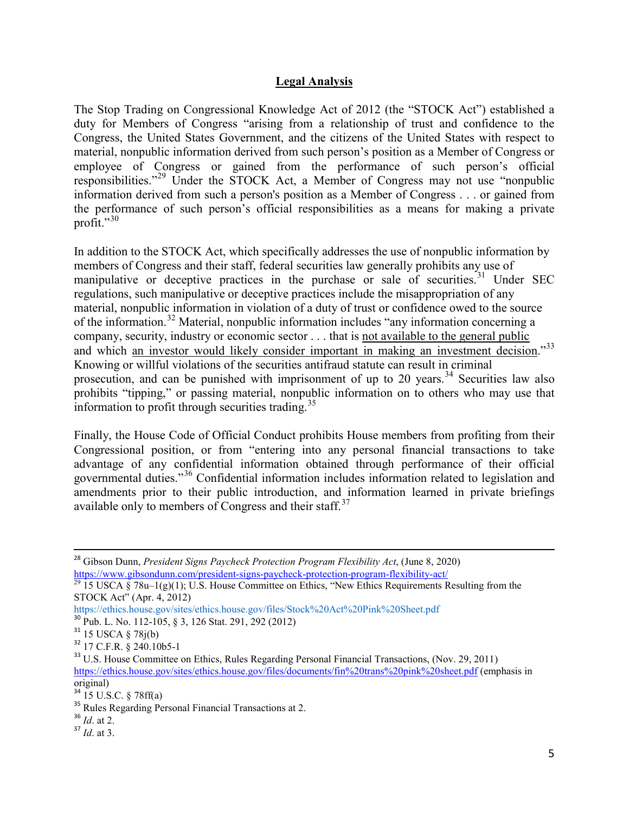#### **Legal Analysis**

The Stop Trading on Congressional Knowledge Act of 2012 (the "STOCK Act") established a duty for Members of Congress "arising from a relationship of trust and confidence to the Congress, the United States Government, and the citizens of the United States with respect to material, nonpublic information derived from such person's position as a Member of Congress or employee of Congress or gained from the performance of such person's official responsibilities."[29](#page-4-0) Under the STOCK Act, a Member of Congress may not use "nonpublic information derived from such a person's position as a Member of Congress . . . or gained from the performance of such person's official responsibilities as a means for making a private profit." $30$ 

In addition to the STOCK Act, which specifically addresses the use of nonpublic information by members of Congress and their staff, federal securities law generally prohibits any use of manipulative or deceptive practices in the purchase or sale of securities.<sup>[31](#page-4-2)</sup> Under SEC regulations, such manipulative or deceptive practices include the misappropriation of any material, nonpublic information in violation of a duty of trust or confidence owed to the source of the information.[32](#page-4-3) Material, nonpublic information includes "any information concerning a company, security, industry or economic sector . . . that is not available to the general public and which an investor would likely consider important in making an investment decision."<sup>[33](#page-4-4)</sup> Knowing or willful violations of the securities antifraud statute can result in criminal prosecution, and can be punished with imprisonment of up to 20 years.<sup>[34](#page-4-5)</sup> Securities law also prohibits "tipping," or passing material, nonpublic information on to others who may use that information to profit through securities trading.<sup>[35](#page-4-6)</sup>

Finally, the House Code of Official Conduct prohibits House members from profiting from their Congressional position, or from "entering into any personal financial transactions to take advantage of any confidential information obtained through performance of their official governmental duties."<sup>[36](#page-4-7)</sup> Confidential information includes information related to legislation and amendments prior to their public introduction, and information learned in private briefings available only to members of Congress and their staff. $37$ 

<span id="page-4-8"></span><span id="page-4-7"></span>

<sup>28</sup> Gibson Dunn, *President Signs Paycheck Protection Program Flexibility Act*, (June 8, 2020) <https://www.gibsondunn.com/president-signs-paycheck-protection-program-flexibility-act/><br><sup>29</sup> 15 USCA § 78u–1(g)(1); U.S. House Committee on Ethics, "New Ethics Requirements Resulting from the

<span id="page-4-0"></span>STOCK Act" (Apr. 4, 2012)

https://ethics.house.gov/sites/ethics.house.gov/files/Stock%20Act%20Pink%20Sheet.pdf<br><sup>30</sup> Pub. L. No. 112-105, § 3, 126 Stat. 291, 292 (2012)

<span id="page-4-4"></span>

<span id="page-4-3"></span><span id="page-4-2"></span><span id="page-4-1"></span><sup>&</sup>lt;sup>31</sup> 15 USCA § 78j(b)<br><sup>32</sup> 17 C.F.R. § 240.10b5-1 32 17 C.F.R. § 240.10b5-1 33 U.S. House Committee on Ethics, Rules Regarding Personal Financial Transactions, (Nov. 29, 2011) <https://ethics.house.gov/sites/ethics.house.gov/files/documents/fin%20trans%20pink%20sheet.pdf> (emphasis in original)<br> $34$  15 U.S.C. § 78ff(a)

<span id="page-4-5"></span>

<span id="page-4-6"></span><sup>&</sup>lt;sup>35</sup> Rules Regarding Personal Financial Transactions at 2.<br><sup>36</sup> *Id.* at 2. <sup>37</sup> *Id.* at 3.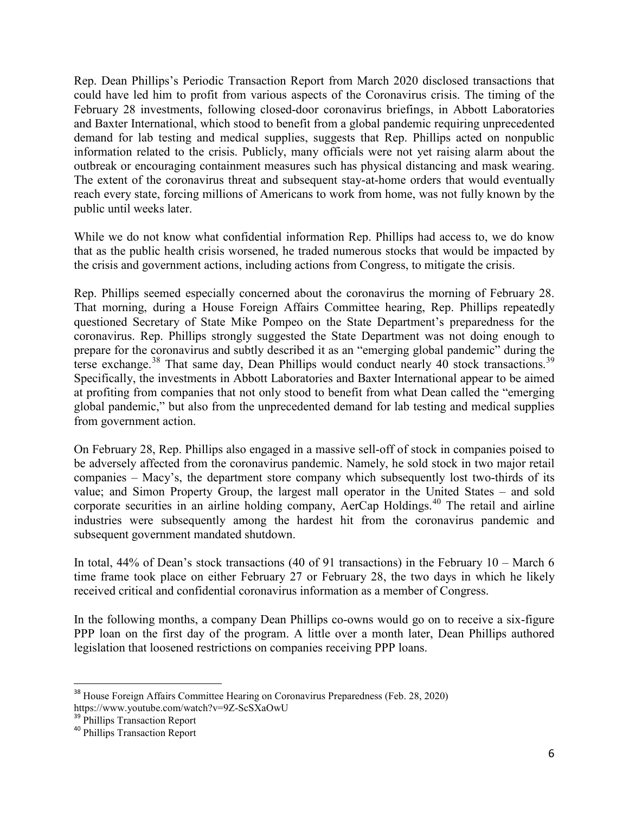Rep. Dean Phillips's Periodic Transaction Report from March 2020 disclosed transactions that could have led him to profit from various aspects of the Coronavirus crisis. The timing of the February 28 investments, following closed-door coronavirus briefings, in Abbott Laboratories and Baxter International, which stood to benefit from a global pandemic requiring unprecedented demand for lab testing and medical supplies, suggests that Rep. Phillips acted on nonpublic information related to the crisis. Publicly, many officials were not yet raising alarm about the outbreak or encouraging containment measures such has physical distancing and mask wearing. The extent of the coronavirus threat and subsequent stay-at-home orders that would eventually reach every state, forcing millions of Americans to work from home, was not fully known by the public until weeks later.

While we do not know what confidential information Rep. Phillips had access to, we do know that as the public health crisis worsened, he traded numerous stocks that would be impacted by the crisis and government actions, including actions from Congress, to mitigate the crisis.

Rep. Phillips seemed especially concerned about the coronavirus the morning of February 28. That morning, during a House Foreign Affairs Committee hearing, Rep. Phillips repeatedly questioned Secretary of State Mike Pompeo on the State Department's preparedness for the coronavirus. Rep. Phillips strongly suggested the State Department was not doing enough to prepare for the coronavirus and subtly described it as an "emerging global pandemic" during the terse exchange.<sup>[38](#page-5-0)</sup> That same day, Dean Phillips would conduct nearly 40 stock transactions.<sup>[39](#page-5-1)</sup> Specifically, the investments in Abbott Laboratories and Baxter International appear to be aimed at profiting from companies that not only stood to benefit from what Dean called the "emerging global pandemic," but also from the unprecedented demand for lab testing and medical supplies from government action.

On February 28, Rep. Phillips also engaged in a massive sell-off of stock in companies poised to be adversely affected from the coronavirus pandemic. Namely, he sold stock in two major retail companies – Macy's, the department store company which subsequently lost two-thirds of its value; and Simon Property Group, the largest mall operator in the United States – and sold corporate securities in an airline holding company,  $AerCap$  Holdings.<sup>[40](#page-5-2)</sup> The retail and airline industries were subsequently among the hardest hit from the coronavirus pandemic and subsequent government mandated shutdown.

In total, 44% of Dean's stock transactions (40 of 91 transactions) in the February 10 – March 6 time frame took place on either February 27 or February 28, the two days in which he likely received critical and confidential coronavirus information as a member of Congress.

In the following months, a company Dean Phillips co-owns would go on to receive a six-figure PPP loan on the first day of the program. A little over a month later, Dean Phillips authored legislation that loosened restrictions on companies receiving PPP loans.

<span id="page-5-0"></span><sup>&</sup>lt;sup>38</sup> House Foreign Affairs Committee Hearing on Coronavirus Preparedness (Feb. 28, 2020) https://www.youtube.com/watch?v=9Z-ScSXaOwU<br><sup>39</sup> Phillips Transaction Report<br><sup>40</sup> Phillips Transaction Report

<span id="page-5-1"></span>

<span id="page-5-2"></span>